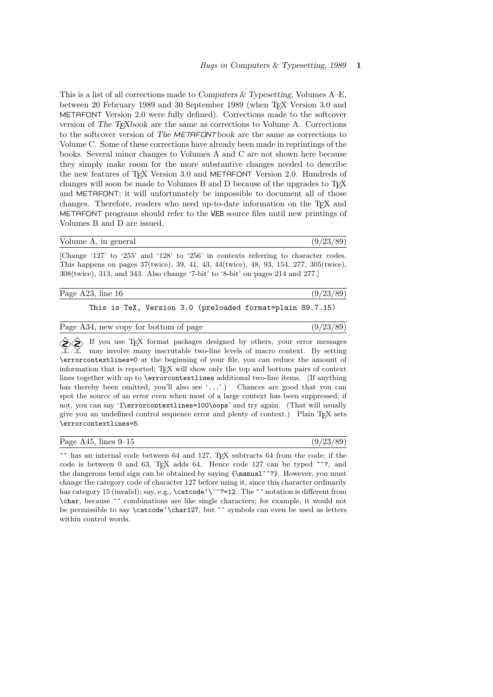This is a list of all corrections made to Computers  $&$  Typesetting, Volumes A–E, between 20 February 1989 and 30 September 1989 (when TFX Version 3.0 and METAFONT Version 2.0 were fully defined). Corrections made to the softcover version of The TEXbook are the same as corrections to Volume A. Corrections to the softcover version of The METAFONTbook are the same as corrections to Volume C. Some of these corrections have already been made in reprintings of the books. Several minor changes to Volumes A and C are not shown here because they simply make room for the more substantive changes needed to describe the new features of T<sub>E</sub>X Version 3.0 and METAFONT Version 2.0. Hundreds of changes will soon be made to Volumes B and D because of the upgrades to TEX and METAFONT; it will unfortunately be impossible to document all of those changes. Therefore, readers who need up-to-date information on the TEX and METAFONT programs should refer to the WEB source files until new printings of Volumes B and D are issued.

|  |  | Volume A, in general |
|--|--|----------------------|
|  |  |                      |

#### $(9/23/89)$

 $(9/23/89)$ 

[Change '127' to '255' and '128' to '256' in contexts referring to character codes. This happens on pages 37(twice), 39, 41, 43, 44(twice), 48, 93, 154, 277, 305(twice), 308(twice), 313, and 343. Also change '7-bit' to '8-bit' on pages 214 and 277.]

| Page A23, line 16 | (9/23/89) |
|-------------------|-----------|
|                   |           |

# This is TeX, Version 3.0 (preloaded format=plain 89.7.15)

 $\Diamond$  If you use TEX format packages designed by others, your error messages may involve many inscrutable two-line levels of macro context. By setting \errorcontextlines=0 at the beginning of your file, you can reduce the amount of information that is reported; TEX will show only the top and bottom pairs of context lines together with up to \errorcontextlines additional two-line items. (If anything has thereby been omitted, you'll also see '...'.) Chances are good that you can spot the source of an error even when most of a large context has been suppressed; if not, you can say 'I\errorcontextlines=100\oops' and try again. (That will usually give you an undefined control sequence error and plenty of context.) Plain TEX sets \errorcontextlines=5.

| Page $A45$ , lines $9-15$ |  |  |  |  |  |
|---------------------------|--|--|--|--|--|
|---------------------------|--|--|--|--|--|

 $(9/23/89)$ 

 $\hat{\ }$  has an internal code between 64 and 127, TEX subtracts 64 from the code; if the code is between 0 and 63, T<sub>EX</sub> adds 64. Hence code 127 can be typed  $\hat{ }$  . the dangerous bend sign can be obtained by saying  $\{\mathrm{m}$ ?}. However, you must change the category code of character 127 before using it, since this character ordinarily has category 15 (invalid); say, e.g., \catcode'\^^?=12. The ^^ notation is different from \char, because ^^ combinations are like single characters; for example, it would not be permissible to say \catcode'\char127, but ^^ symbols can even be used as letters within control words.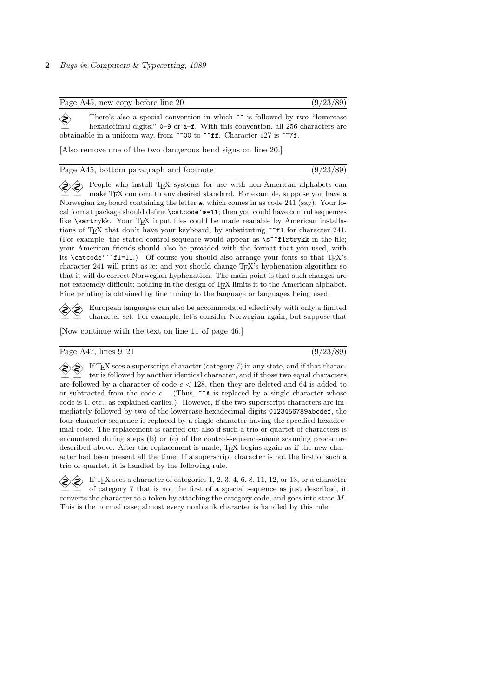| Page A45, new copy before line 20 | (9/23/89) |
|-----------------------------------|-----------|
|-----------------------------------|-----------|

There's also a special convention in which  $\hat{ }$  is followed by two "lowercase" hoursdooimal digits " 0.0 or a f. With this convention all 356 shapedom are hexadecimal digits,"  $0-9$  or  $a-f$ . With this convention, all 256 characters are obtainable in a uniform way, from ^^00 to ^^ff. Character 127 is ^^7f.

[Also remove one of the two dangerous bend signs on line 20.]

| Page A45, bottom paragraph and footnote | (9/23/89) |
|-----------------------------------------|-----------|
|-----------------------------------------|-----------|

People who install TEX systems for use with non-American alphabets can make TEX conform to any desired standard. For example, suppose you have a Norwegian keyboard containing the letter æ, which comes in as code 241 (say). Your local format package should define \catcode'æ=11; then you could have control sequences like \særtrykk. Your TEX input files could be made readable by American installations of T<sub>E</sub>X that don't have your keyboard, by substituting  $\hat{f}$  for character 241. (For example, the stated control sequence would appear as  $\simeq$  f1rtrykk in the file; your American friends should also be provided with the format that you used, with its \catcode'<sup>\*</sup>\*f1=11.) Of course you should also arrange your fonts so that TEX's character 241 will print as æ; and you should change TEX's hyphenation algorithm so that it will do correct Norwegian hyphenation. The main point is that such changes are not extremely difficult; nothing in the design of TEX limits it to the American alphabet. Fine printing is obtained by fine tuning to the language or languages being used.

 European languages can also be accommodated effectively with only a limited character set. For example, let's consider Norwegian again, but suppose that

[Now continue with the text on line 11 of page 46.]

Page A47, lines  $9-21$  ( $9/23/89$ )

 $\Diamond$  If T<sub>E</sub>X sees a superscript character (category 7) in any state, and if that character is followed by another identical character, and if those two equal characters are followed by a character of code  $c < 128$ , then they are deleted and 64 is added to or subtracted from the code c. (Thus,  $\hat{\ }$  A is replaced by a single character whose code is 1, etc., as explained earlier.) However, if the two superscript characters are immediately followed by two of the lowercase hexadecimal digits 0123456789abcdef, the four-character sequence is replaced by a single character having the specified hexadecimal code. The replacement is carried out also if such a trio or quartet of characters is encountered during steps (b) or (c) of the control-sequence-name scanning procedure described above. After the replacement is made, TFX begins again as if the new character had been present all the time. If a superscript character is not the first of such a trio or quartet, it is handled by the following rule.

 If TEX sees a character of categories 1, 2, 3, 4, 6, 8, 11, 12, or 13, or a character of category 7 that is not the first of a special sequence as just described, it converts the character to a token by attaching the category code, and goes into state M. This is the normal case; almost every nonblank character is handled by this rule.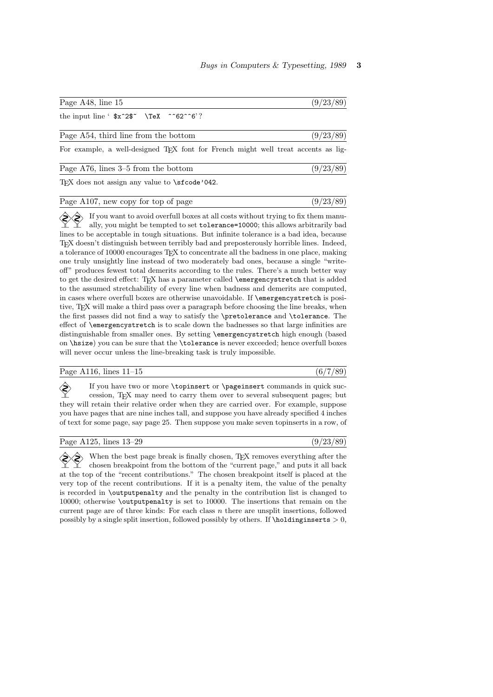| Page A48, line 15                          | (9/23/89) |
|--------------------------------------------|-----------|
| the input line ' $x^2x^2$ \TeX ^ 62 ^ 6' ? |           |
| Page A54, third line from the bottom       | (9/23/89) |

For example, a well-designed TEX font for French might well treat accents as lig-

| Page $A76$ , lines $3-5$ from the bottom | (9/23/89) |
|------------------------------------------|-----------|
|------------------------------------------|-----------|

T<sub>EX</sub> does not assign any value to \sfcode'042.

| Page A107, new copy for top of page | (9/23/89) |
|-------------------------------------|-----------|
|-------------------------------------|-----------|

 $\Diamond$  If you want to avoid overfull boxes at all costs without trying to fix them manually, you might be tempted to set tolerance=10000; this allows arbitrarily bad lines to be acceptable in tough situations. But infinite tolerance is a bad idea, because TEX doesn't distinguish between terribly bad and preposterously horrible lines. Indeed, a tolerance of 10000 encourages TEX to concentrate all the badness in one place, making one truly unsightly line instead of two moderately bad ones, because a single "writeoff" produces fewest total demerits according to the rules. There's a much better way to get the desired effect: TEX has a parameter called \emergencystretch that is added to the assumed stretchability of every line when badness and demerits are computed, in cases where overfull boxes are otherwise unavoidable. If \emergencystretch is positive, TEX will make a third pass over a paragraph before choosing the line breaks, when the first passes did not find a way to satisfy the \pretolerance and \tolerance. The effect of \emergencystretch is to scale down the badnesses so that large infinities are distinguishable from smaller ones. By setting \emergencystretch high enough (based on \hsize) you can be sure that the \tolerance is never exceeded; hence overfull boxes will never occur unless the line-breaking task is truly impossible.

#### Page A116, lines  $11-15$  (6/7/89)

 $\diamondsuit$  If you have two or more \topinsert or \pageinsert commands in quick succession. TrX may need to carry them over to several subsequent pages: but cession, TEX may need to carry them over to several subsequent pages; but they will retain their relative order when they are carried over. For example, suppose you have pages that are nine inches tall, and suppose you have already specified 4 inches of text for some page, say page 25. Then suppose you make seven topinserts in a row, of

| Page A125, lines $13-29$ |  | (9/23/89) |  |  |
|--------------------------|--|-----------|--|--|
|--------------------------|--|-----------|--|--|

When the best page break is finally chosen, TEX removes everything after the chosen breakpoint from the bottom of the "current page," and puts it all back at the top of the "recent contributions." The chosen breakpoint itself is placed at the very top of the recent contributions. If it is a penalty item, the value of the penalty is recorded in \outputpenalty and the penalty in the contribution list is changed to 10000; otherwise \outputpenalty is set to 10000. The insertions that remain on the current page are of three kinds: For each class  $n$  there are unsplit insertions, followed possibly by a single split insertion, followed possibly by others. If  $\hbox{holding} \n {\bf 0}$ ,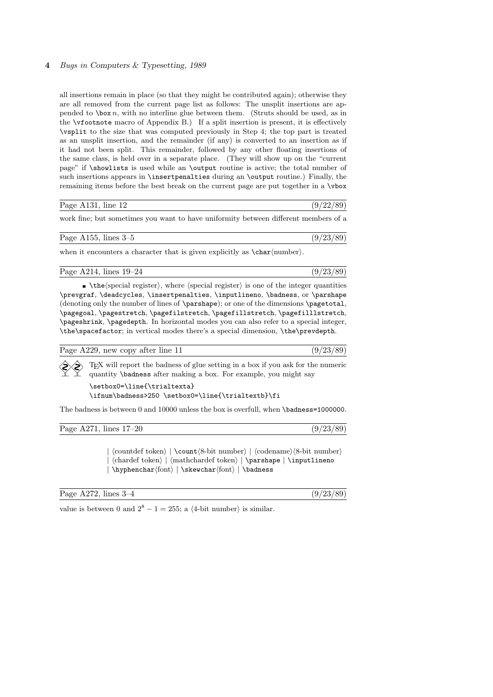all insertions remain in place (so that they might be contributed again); otherwise they are all removed from the current page list as follows: The unsplit insertions are appended to  $\bar{b}$  box n, with no interline glue between them. (Struts should be used, as in the \vfootnote macro of Appendix B.) If a split insertion is present, it is effectively \vsplit to the size that was computed previously in Step 4; the top part is treated as an unsplit insertion, and the remainder (if any) is converted to an insertion as if it had not been split. This remainder, followed by any other floating insertions of the same class, is held over in a separate place. (They will show up on the "current page" if \showlists is used while an \output routine is active; the total number of such insertions appears in \insertpenalties during an \output routine.) Finally, the remaining items before the best break on the current page are put together in a \vbox

| Page A131<br>line 12<br>$\cdots$<br> | ∕∩<br>ിറെ. |
|--------------------------------------|------------|

work fine; but sometimes you want to have uniformity between different members of a

when it encounters a character that is given explicitly as  $\char`>char\mathcal{A}$ .

Page A214, lines  $19-24$  (9/23/89)

 $\bullet$  \the (special register), where (special register) is one of the integer quantities \prevgraf, \deadcycles, \insertpenalties, \inputlineno, \badness, or \parshape (denoting only the number of lines of \parshape); or one of the dimensions \pagetotal, \pagegoal, \pagestretch, \pagefilstretch, \pagefillstretch, \pagefilllstretch, \pageshrink, \pagedepth. In horizontal modes you can also refer to a special integer, \the\spacefactor; in vertical modes there's a special dimension, \the\prevdepth.

| Page A229, new copy after line 11 | (9/23/89) |  |
|-----------------------------------|-----------|--|
|                                   |           |  |

 TEX will report the badness of glue setting in a box if you ask for the numeric quantity \badness after making a box. For example, you might say

\setbox0=\line{\trialtexta} \ifnum\badness>250 \setbox0=\line{\trialtextb}\fi

The badness is between 0 and 10000 unless the box is overfull, when \badness=1000000.

| Page A271, lines $17-20$ | (9/23/89) |
|--------------------------|-----------|
|--------------------------|-----------|

 $| \langle countdef token \rangle | \langle 8-bit number \rangle | \langle codename \rangle \langle 8-bit number \rangle$  $\langle \hat{\theta} | \mathbf{h}$  | hathchardef token) | \parshape | \inputlineno  $|\hbox{\tt\phenchar}({\rm font}\hbox{\tt f} )| \badness$ 

Page A272, lines  $3-4$  (9/23/89)

value is between 0 and  $2^8 - 1 = 255$ ; a  $\langle 4\text{-bit number} \rangle$  is similar.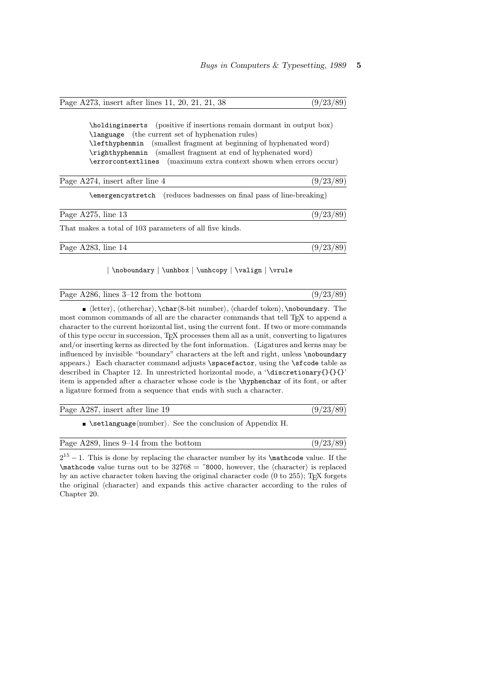|  | Page A273, insert after lines 11, 20, 21, 21, 38 |  |  |  |  |  |  |  | (9/23/89) |  |  |
|--|--------------------------------------------------|--|--|--|--|--|--|--|-----------|--|--|
|--|--------------------------------------------------|--|--|--|--|--|--|--|-----------|--|--|

\holdinginserts (positive if insertions remain dormant in output box) \language (the current set of hyphenation rules) \lefthyphenmin (smallest fragment at beginning of hyphenated word) \righthyphenmin (smallest fragment at end of hyphenated word) \errorcontextlines (maximum extra context shown when errors occur)

| Page A274, insert after line 4                          | (9/23/89)                                                            |
|---------------------------------------------------------|----------------------------------------------------------------------|
|                                                         | \emergencystretch (reduces badnesses on final pass of line-breaking) |
| Page $A275$ , line 13                                   | (9/23/89)                                                            |
| That makes a total of 103 parameters of all five kinds. |                                                                      |
|                                                         | $1 - 1 - - 1 - -1$                                                   |

Page A283, line 14 (9/23/89)

## | \noboundary | \unhbox | \unhcopy | \valign | \vrule

| Page $A286$ , lines $3-12$ from the bottom | (9/23/89) |
|--------------------------------------------|-----------|
|--------------------------------------------|-----------|

 $\blacksquare$  (letter), (otherchar), \char $\ell\$ -bit number), (chardef token), \noboundary. The most common commands of all are the character commands that tell T<sub>E</sub>X to append a character to the current horizontal list, using the current font. If two or more commands of this type occur in succession, TEX processes them all as a unit, converting to ligatures and/or inserting kerns as directed by the font information. (Ligatures and kerns may be influenced by invisible "boundary" characters at the left and right, unless \noboundary appears.) Each character command adjusts \spacefactor, using the \sfcode table as described in Chapter 12. In unrestricted horizontal mode, a '\discretionary{}{}{}' item is appended after a character whose code is the \hyphenchar of its font, or after a ligature formed from a sequence that ends with such a character.

| Page A287, insert after line 19 | (9/23/89) |
|---------------------------------|-----------|
|                                 |           |

 $\blacktriangleright$  \setlanguage $\langle$ number $\rangle$ . See the conclusion of Appendix H.

| Page A289, lines 9–14 from the bottom | (9/23/89) |
|---------------------------------------|-----------|
|---------------------------------------|-----------|

 $2^{15} - 1$ . This is done by replacing the character number by its \mathcode value. If the  $\mathcal{L}$  mathcode value turns out to be 32768 = "8000, however, the  $\langle$ character $\rangle$  is replaced by an active character token having the original character code (0 to 255); TEX forgets the original (character) and expands this active character according to the rules of Chapter 20.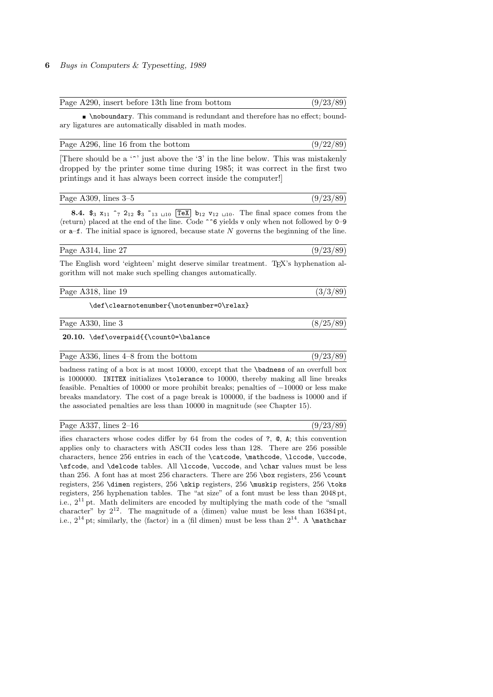| Page A290, insert before 13th line from bottom | (9/23/89) |  |
|------------------------------------------------|-----------|--|
|                                                |           |  |

\noboundary. This command is redundant and therefore has no effect; boundary ligatures are automatically disabled in math modes.

| Page A296, line 16 from the bottom | (9/22/89) |
|------------------------------------|-----------|
|------------------------------------|-----------|

[There should be a  $\lq\lq$  just above the '3' in the line below. This was mistakenly dropped by the printer some time during 1985; it was correct in the first two printings and it has always been correct inside the computer!]

| (9/23/89)<br>Page A309, lines $3-5$ |  |  |
|-------------------------------------|--|--|
|-------------------------------------|--|--|

8.4.  $\$_3$   $x_{11}$   $\[^{7}$   $2_{12}$   $\$_{3}$   $\[^{13}$   $\]$   $\boxed{10}$   $\boxed{TeV}$   $b_{12}$   $v_{12}$   $\]$   $\]$ . The final space comes from the  $\langle$ return $\rangle$  placed at the end of the line. Code ^^6 yields v only when not followed by 0–9 or  $a$ –f. The initial space is ignored, because state  $N$  governs the beginning of the line.

Page A314, line 27 (9/23/89)

 $(9/23/89)$ 

The English word 'eighteen' might deserve similar treatment. TEX's hyphenation algorithm will not make such spelling changes automatically.

Page A318, line 19 (3/3/89)

\def\clearnotenumber{\notenumber=0\relax}

Page A330, line 3 (8/25/89)

20.10. \def\overpaid{{\count0=\balance

Page A336, lines  $4-8$  from the bottom (9/23/89)

badness rating of a box is at most 10000, except that the \badness of an overfull box is 1000000. INITEX initializes \tolerance to 10000, thereby making all line breaks feasible. Penalties of 10000 or more prohibit breaks; penalties of −10000 or less make breaks mandatory. The cost of a page break is 100000, if the badness is 10000 and if the associated penalties are less than 10000 in magnitude (see Chapter 15).

|  | Page A337, lines $2-16$ |  |
|--|-------------------------|--|
|  |                         |  |

ifies characters whose codes differ by 64 from the codes of ?, @, A; this convention applies only to characters with ASCII codes less than 128. There are 256 possible characters, hence 256 entries in each of the \catcode, \mathcode, \lccode, \uccode, \sfcode, and \delcode tables. All \lccode, \uccode, and \char values must be less than 256. A font has at most 256 characters. There are 256 \box registers, 256 \count registers, 256 \dimen registers, 256 \skip registers, 256 \muskip registers, 256 \toks registers, 256 hyphenation tables. The "at size" of a font must be less than 2048 pt, i.e.,  $2^{11}$  pt. Math delimiters are encoded by multiplying the math code of the "small" character" by  $2^{12}$ . The magnitude of a (dimen) value must be less than 16384 pt, i.e.,  $2^{14}$  pt; similarly, the (factor) in a (fil dimen) must be less than  $2^{14}$ . A \mathchar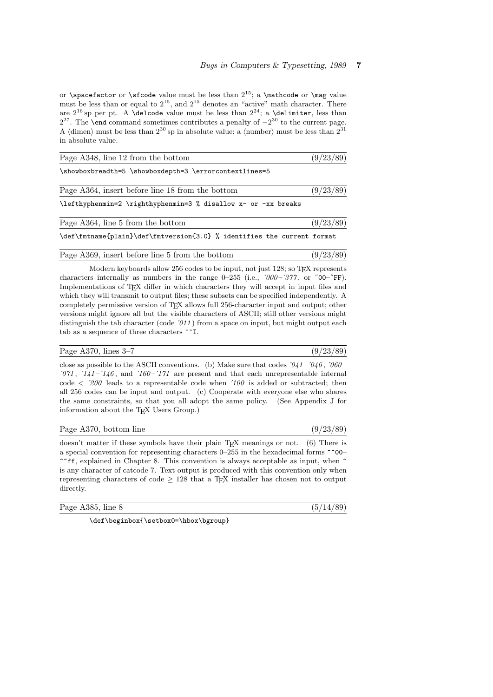or \spacefactor or \sfcode value must be less than  $2^{15}$ ; a \mathcode or \mag value must be less than or equal to  $2^{15}$ , and  $2^{15}$  denotes an "active" math character. There are  $2^{16}$  sp per pt. A **\delcode** value must be less than  $2^{24}$ ; a **\delimiter**, less than 2<sup>27</sup>. The **\end** command sometimes contributes a penalty of  $-2^{30}$  to the current page. A (dimen) must be less than  $2^{30}$  sp in absolute value; a (number) must be less than  $2^{31}$ in absolute value.

| Page A348, line 12 from the bottom                                      | (9/23/89) |
|-------------------------------------------------------------------------|-----------|
| \showboxbreadth=5 \showboxdepth=3 \errorcontextlines=5                  |           |
| Page A364, insert before line 18 from the bottom                        | (9/23/89) |
| \lefthyphenmin=2 \righthyphenmin=3 % disallow x- or -xx breaks          |           |
| Page A364, line 5 from the bottom                                       | (9/23/89) |
| \def\fmtname{plain}\def\fmtversion{3.0} % identifies the current format |           |
| Page A369, insert before line 5 from the bottom                         | (9/23/89) |

Modern keyboards allow 256 codes to be input, not just 128; so T<sub>E</sub>X represents characters internally as numbers in the range  $0-255$  (i.e.,  $\langle 000-377,$  or  $\langle 00-75F \rangle$ ). Implementations of T<sub>E</sub>X differ in which characters they will accept in input files and which they will transmit to output files; these subsets can be specified independently. A completely permissive version of TEX allows full 256-character input and output; other versions might ignore all but the visible characters of ASCII; still other versions might distinguish the tab character (code  $\partial$ 11) from a space on input, but might output each tab as a sequence of three characters ^^I.

## Page A370, lines 3–7 (9/23/89)

close as possible to the ASCII conventions. (b) Make sure that codes  $\partial_4 1 - \partial_4 6$ ,  $\partial_6 0 '071$ ,  $'141 -'146$ , and  $'160 -'171$  are present and that each unrepresentable internal code  $\langle 200 \rangle$  leads to a representable code when  $\langle 100 \rangle$  is added or subtracted; then all 256 codes can be input and output. (c) Cooperate with everyone else who shares the same constraints, so that you all adopt the same policy. (See Appendix J for information about the T<sub>E</sub>X Users Group.)

| Page A370, bottom line | (9/23/89) |  |  |  |
|------------------------|-----------|--|--|--|
|------------------------|-----------|--|--|--|

doesn't matter if these symbols have their plain T<sub>E</sub>X meanings or not. (6) There is a special convention for representing characters 0–255 in the hexadecimal forms ^^00–  $\hat{\ }$ ff, explained in Chapter 8. This convention is always acceptable as input, when  $\hat{\ }$ is any character of catcode 7. Text output is produced with this convention only when representing characters of code  $> 128$  that a T<sub>E</sub>X installer has chosen not to output directly.

| Page A385, line 8 |  |
|-------------------|--|
|                   |  |

\def\beginbox{\setbox0=\hbox\bgroup}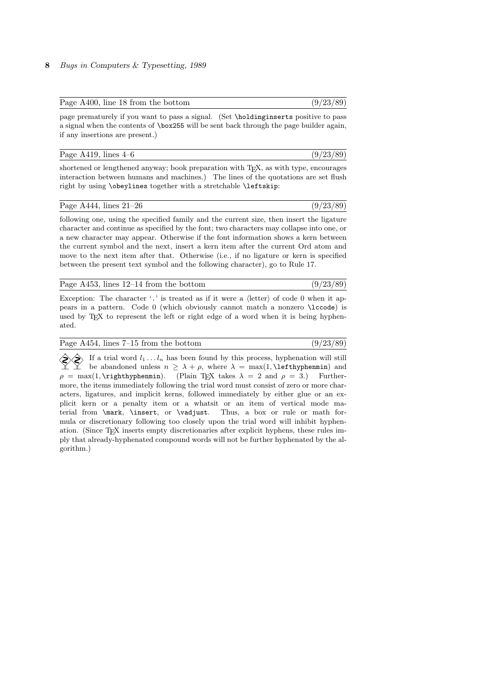| Page A400, line 18 from the bottom | (9/23/89) |
|------------------------------------|-----------|
|------------------------------------|-----------|

page prematurely if you want to pass a signal. (Set \holdinginserts positive to pass a signal when the contents of \box255 will be sent back through the page builder again, if any insertions are present.)

|  | Page $A419$ , lines $4-6$ |  |  |
|--|---------------------------|--|--|
|  |                           |  |  |

 $(9/23/89)$ 

shortened or lengthened anyway; book preparation with T<sub>E</sub>X, as with type, encourages interaction between humans and machines.) The lines of the quotations are set flush right by using \obeylines together with a stretchable \leftskip:

### Page A444, lines  $21-26$  (9/23/89)

following one, using the specified family and the current size, then insert the ligature character and continue as specified by the font; two characters may collapse into one, or a new character may appear. Otherwise if the font information shows a kern between the current symbol and the next, insert a kern item after the current Ord atom and move to the next item after that. Otherwise (i.e., if no ligature or kern is specified between the present text symbol and the following character), go to Rule 17.

| Page A453, lines $12-14$ from the bottom | (9/23/89) |
|------------------------------------------|-----------|
|------------------------------------------|-----------|

Exception: The character '.' is treated as if it were a  $\langle$  letter $\rangle$  of code 0 when it appears in a pattern. Code 0 (which obviously cannot match a nonzero \lccode) is used by T<sub>E</sub>X to represent the left or right edge of a word when it is being hyphenated.

| Page $A454$ , lines $7-15$ from the bottom | (9/23/89) |
|--------------------------------------------|-----------|
|--------------------------------------------|-----------|

If a trial word  $l_1 \ldots l_n$  has been found by this process, hyphenation will still<br>be abandoned unless  $n > \lambda + \rho$ , where  $\lambda = \max(1, \text{lefthyphenmin})$  and be abandoned unless  $n \geq \lambda + \rho$ , where  $\lambda = \max(1, \text{leftyphenmin})$  and  $\rho = \max(1, \text{trightyphenmin}).$  (Plain T<sub>EX</sub> takes  $\lambda = 2$  and  $\rho = 3$ .) Furthermore, the items immediately following the trial word must consist of zero or more characters, ligatures, and implicit kerns, followed immediately by either glue or an explicit kern or a penalty item or a whatsit or an item of vertical mode material from \mark, \insert, or \vadjust. Thus, a box or rule or math formula or discretionary following too closely upon the trial word will inhibit hyphenation. (Since TEX inserts empty discretionaries after explicit hyphens, these rules imply that already-hyphenated compound words will not be further hyphenated by the algorithm.)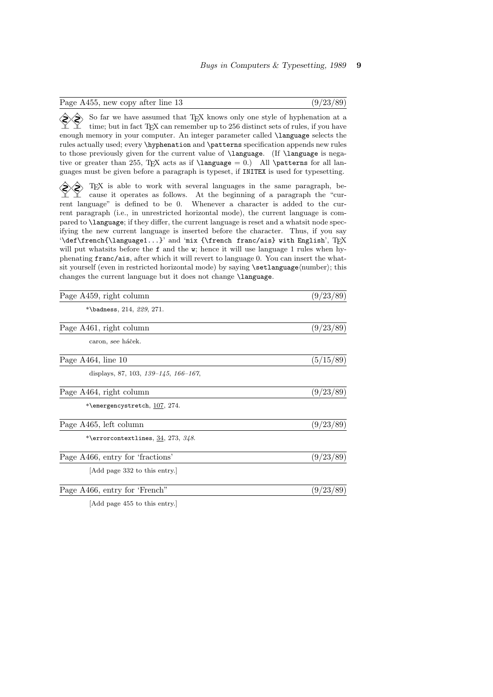| Page A455, new copy after line 13                                                                                                                                                                                                                                                                                                                                                                                                                                                                                                                                                                                                                                                                                                                                                                                                                                                                                                                                        | (9/23/89) |
|--------------------------------------------------------------------------------------------------------------------------------------------------------------------------------------------------------------------------------------------------------------------------------------------------------------------------------------------------------------------------------------------------------------------------------------------------------------------------------------------------------------------------------------------------------------------------------------------------------------------------------------------------------------------------------------------------------------------------------------------------------------------------------------------------------------------------------------------------------------------------------------------------------------------------------------------------------------------------|-----------|
| So far we have assumed that TEX knows only one style of hyphenation at a<br>time; but in fact TFX can remember up to 256 distinct sets of rules, if you have<br>enough memory in your computer. An integer parameter called <i>\language</i> selects the<br>rules actually used; every \hyphenation and \patterns specification appends new rules<br>to those previously given for the current value of <i>language</i> . (If <i>language</i> is nega-<br>tive or greater than 255, TEX acts as if $\langle$ 1 anguage = 0.) All $\$<br>guages must be given before a paragraph is typeset, if INITEX is used for typesetting.                                                                                                                                                                                                                                                                                                                                           |           |
| T <sub>F</sub> X is able to work with several languages in the same paragraph, be-<br>cause it operates as follows. At the beginning of a paragraph the "cur-<br>rent language" is defined to be 0. Whenever a character is added to the cur-<br>rent paragraph (i.e., in unrestricted horizontal mode), the current language is com-<br>pared to <b>\language</b> ; if they differ, the current language is reset and a what sit node spec-<br>ifying the new current language is inserted before the character. Thus, if you say<br>'\def\french{\language1}' and 'mix {\french franc/ais} with English', TFX<br>will put what sits before the f and the w; hence it will use language 1 rules when hy-<br>phenating franc/ais, after which it will revert to language 0. You can insert the what-<br>sit yourself (even in restricted horizontal mode) by saying \setlanguage(number); this<br>changes the current language but it does not change <b>\language</b> . |           |
| Page A459, right column                                                                                                                                                                                                                                                                                                                                                                                                                                                                                                                                                                                                                                                                                                                                                                                                                                                                                                                                                  | (9/23/89) |
| *\badness, $214, 229, 271.$                                                                                                                                                                                                                                                                                                                                                                                                                                                                                                                                                                                                                                                                                                                                                                                                                                                                                                                                              |           |
| Page A461, right column                                                                                                                                                                                                                                                                                                                                                                                                                                                                                                                                                                                                                                                                                                                                                                                                                                                                                                                                                  | (9/23/89) |
| caron, see háček.                                                                                                                                                                                                                                                                                                                                                                                                                                                                                                                                                                                                                                                                                                                                                                                                                                                                                                                                                        |           |
| Page A464, line 10                                                                                                                                                                                                                                                                                                                                                                                                                                                                                                                                                                                                                                                                                                                                                                                                                                                                                                                                                       | (5/15/89) |
| displays, 87, 103, $139-145$ , $166-167$ ,                                                                                                                                                                                                                                                                                                                                                                                                                                                                                                                                                                                                                                                                                                                                                                                                                                                                                                                               |           |
| Page A464, right column                                                                                                                                                                                                                                                                                                                                                                                                                                                                                                                                                                                                                                                                                                                                                                                                                                                                                                                                                  | (9/23/89) |
| *\emergencystretch, 107, 274.                                                                                                                                                                                                                                                                                                                                                                                                                                                                                                                                                                                                                                                                                                                                                                                                                                                                                                                                            |           |
| Page A465, left column                                                                                                                                                                                                                                                                                                                                                                                                                                                                                                                                                                                                                                                                                                                                                                                                                                                                                                                                                   | (9/23/89) |
| *\errorcontextlines, $34, 273, 348$ .                                                                                                                                                                                                                                                                                                                                                                                                                                                                                                                                                                                                                                                                                                                                                                                                                                                                                                                                    |           |
| Page A466, entry for 'fractions'                                                                                                                                                                                                                                                                                                                                                                                                                                                                                                                                                                                                                                                                                                                                                                                                                                                                                                                                         | (9/23/89) |
| Add page 332 to this entry.                                                                                                                                                                                                                                                                                                                                                                                                                                                                                                                                                                                                                                                                                                                                                                                                                                                                                                                                              |           |
| Page A466, entry for 'French"                                                                                                                                                                                                                                                                                                                                                                                                                                                                                                                                                                                                                                                                                                                                                                                                                                                                                                                                            | (9/23/89) |
|                                                                                                                                                                                                                                                                                                                                                                                                                                                                                                                                                                                                                                                                                                                                                                                                                                                                                                                                                                          |           |

[Add page 455 to this entry.]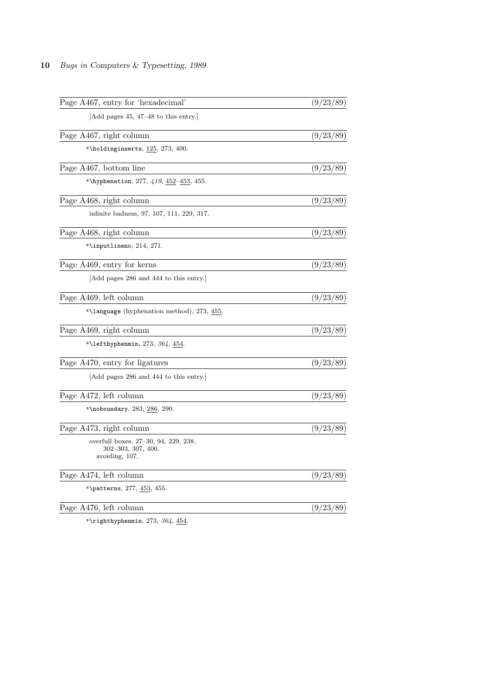| Page A467, entry for 'hexadecimal'                                           | (9/23/89) |
|------------------------------------------------------------------------------|-----------|
| [Add pages $45, 47-48$ to this entry.]                                       |           |
| Page A467, right column                                                      | (9/23/89) |
| *\holdinginserts, $125, 273, 400$ .                                          |           |
| Page A467, bottom line                                                       | (9/23/89) |
| *\hyphenation, 277, $419$ , $452-453$ , 455.                                 |           |
| Page A468, right column                                                      | (9/23/89) |
| infinite badness, 97, 107, 111, 229, 317.                                    |           |
| Page A468, right column                                                      | (9/23/89) |
| $*\infty, 214, 271.$                                                         |           |
| Page A469, entry for kerns                                                   | (9/23/89) |
| [Add pages 286 and 444 to this entry.]                                       |           |
| Page A469, left column                                                       | (9/23/89) |
| *\language (hyphenation method), 273, 455.                                   |           |
| Page A469, right column                                                      | (9/23/89) |
| *\lefthyphenmin, 273, 364, $454$ .                                           |           |
| Page A470, entry for ligatures                                               | (9/23/89) |
| [Add pages 286 and 444 to this entry.]                                       |           |
| Page A472, left column                                                       | (9/23/89) |
| *\noboundary, $283, 286, 290$ .                                              |           |
| Page A473, right column                                                      | (9/23/89) |
| overfull boxes, 27–30, 94, 229, 238,<br>302–303, 307, 400.<br>avoiding, 107. |           |
| Page A474, left column                                                       | (9/23/89) |
| *\patterns, 277, <u>453</u> , 455.                                           |           |
| Page A476, left column                                                       | (9/23/89) |
| *\righthyphenmin $273$ $36/$ $454$                                           |           |

 $\lq$ righthyphenmin, 273, 364,  $\underline{45}$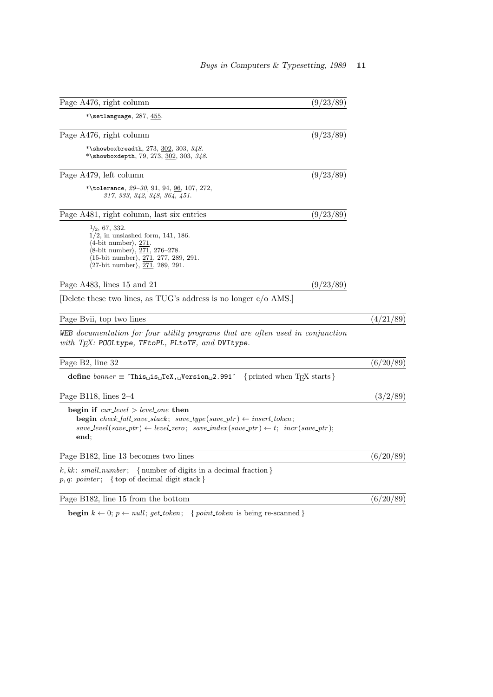| Page A476, right column                                                                                                                                                                                                                                                                                        | (9/23/89) |           |
|----------------------------------------------------------------------------------------------------------------------------------------------------------------------------------------------------------------------------------------------------------------------------------------------------------------|-----------|-----------|
| *\setlanguage, $287, \underline{455}$ .                                                                                                                                                                                                                                                                        |           |           |
| Page A476, right column                                                                                                                                                                                                                                                                                        | (9/23/89) |           |
| *\showboxbreadth, 273, $302, 303, 348$ .<br>*\showboxdepth, 79, 273, $302$ , 303, 348.                                                                                                                                                                                                                         |           |           |
| Page A479, left column                                                                                                                                                                                                                                                                                         | (9/23/89) |           |
| *\tolerance, $29-30$ , 91, 94, 96, 107, 272,<br>317, 333, 342, 348, 364, 451.                                                                                                                                                                                                                                  |           |           |
| Page A481, right column, last six entries                                                                                                                                                                                                                                                                      | (9/23/89) |           |
| $\frac{1}{2}$ , 67, 332.<br>$1/2$ , in unslashed form, 141, 186.<br>$\langle 4\text{-bit number}\rangle$ , 271.<br>$\langle 8\text{-bit number}\rangle, \, 271, \, 276\text{-}278.$<br>$\langle 15\text{-bit number} \rangle, \, \overline{271}, \, 277, \, 289, \, 291.$<br>$(27-bit number), 271, 289, 291.$ |           |           |
| Page A483, lines 15 and 21                                                                                                                                                                                                                                                                                     | (9/23/89) |           |
| Delete these two lines, as TUG's address is no longer $c/\text{o}$ AMS.                                                                                                                                                                                                                                        |           |           |
| Page Bvii, top two lines                                                                                                                                                                                                                                                                                       |           | (4/21/89) |
| WEB documentation for four utility programs that are often used in conjunction<br>with $T_F X$ : POOLtype, TFtoPL, PLtoTF, and DVItype.                                                                                                                                                                        |           |           |
| Page B2, line 32                                                                                                                                                                                                                                                                                               |           | (6/20/89) |
|                                                                                                                                                                                                                                                                                                                |           |           |
| Page B118, lines $2-4$                                                                                                                                                                                                                                                                                         |           | (3/2/89)  |
| begin if $cur\_level > level\_{one}$ then<br><b>begin</b> check_full_save_stack; save_type(save_ptr) $\leftarrow$ insert_token;<br>$save\_level(save\_ptr) \leftarrow level\_zero; \; save\_index(save\_ptr) \leftarrow t; \; incr(save\_ptr);$<br>end:                                                        |           |           |
| Page B182, line 13 becomes two lines                                                                                                                                                                                                                                                                           |           | (6/20/89) |
| $k, kk: small_number; \{ number of digits in a decimal fraction \}$<br>$p, q$ : pointer; { top of decimal digit stack }                                                                                                                                                                                        |           |           |
| Page B182, line 15 from the bottom                                                                                                                                                                                                                                                                             |           | (6/20/89) |

begin  $k \leftarrow 0; p \leftarrow null; get\_token; \{ point\_token \text{ is being re-scanned } \}$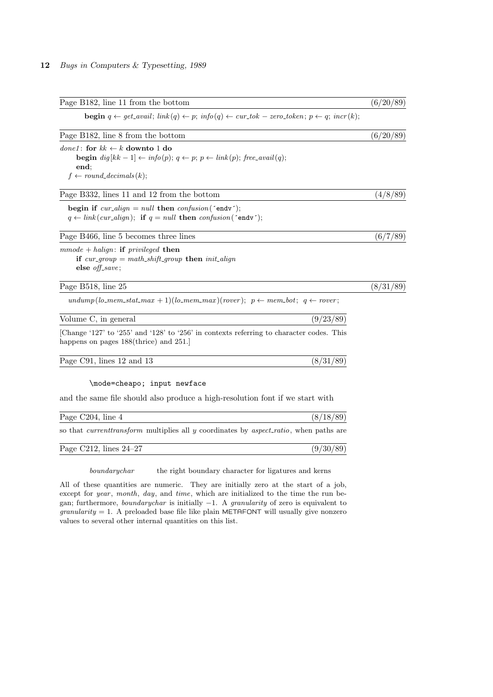| Page B182, line 11 from the bottom                                                                                                                                                                   | (6/20/89) |
|------------------------------------------------------------------------------------------------------------------------------------------------------------------------------------------------------|-----------|
| <b>begin</b> $q \leftarrow get\_avail$ ; $link(q) \leftarrow p$ ; $info(q) \leftarrow cur\_tok - zero\_token$ ; $p \leftarrow q$ ; $incr(k)$ ;                                                       |           |
| Page B182, line 8 from the bottom                                                                                                                                                                    | (6/20/89) |
| <i>done1</i> : for $kk \leftarrow k$ downto 1 do<br><b>begin</b> $dig[kk-1] \leftarrow info(p); q \leftarrow p; p \leftarrow link(p); free\_avail(q);$<br>end;<br>$f \leftarrow round\_decimals(k);$ |           |
| Page B332, lines 11 and 12 from the bottom                                                                                                                                                           | (4/8/89)  |
| begin if $cur\_align = null$ then $confusion('endv')$ ;<br>$q \leftarrow link(cur\_align);$ if $q = null$ then $confusion('endv');$                                                                  |           |
| Page B466, line 5 becomes three lines                                                                                                                                                                | (6/7/89)  |
| $\,mmode+halign:$ if privileged then<br>if $cur\_group = math\_shift\_group$ then $init\_align$<br>else $\textit{off\_save}$ ;                                                                       |           |
| Page B518, line 25                                                                                                                                                                                   | (8/31/89) |
| $\text{undump}(lo\text{-}mem\_stat\text{-}max + 1)(lo\text{-}mem\text{-}max)(rover); p \leftarrow mem\_bot; q \leftarrow rover;$                                                                     |           |
| (9/23/89)<br>Volume C, in general                                                                                                                                                                    |           |
| [Change '127' to '255' and '128' to '256' in contexts referring to character codes. This<br>happens on pages $188$ (thrice) and $251$ .                                                              |           |
| Page C91, lines 12 and 13<br>(8/31/89)                                                                                                                                                               |           |
| \mode=cheapo; input newface                                                                                                                                                                          |           |
| and the same file should also produce a high-resolution font if we start with                                                                                                                        |           |
| Page C204, line 4<br>(8/18/89)                                                                                                                                                                       |           |
| so that <i>current transform</i> multiplies all y coordinates by <i>aspect_ratio</i> , when paths are                                                                                                |           |

boundarychar the right boundary character for ligatures and kerns

Page C212, lines  $24-27$  (9/30/89)

All of these quantities are numeric. They are initially zero at the start of a job, except for *year*, month, day, and time, which are initialized to the time the run began; furthermore, boundarychar is initially −1. A granularity of zero is equivalent to  $\gamma$ granularity = 1. A preloaded base file like plain METAFONT will usually give nonzero values to several other internal quantities on this list.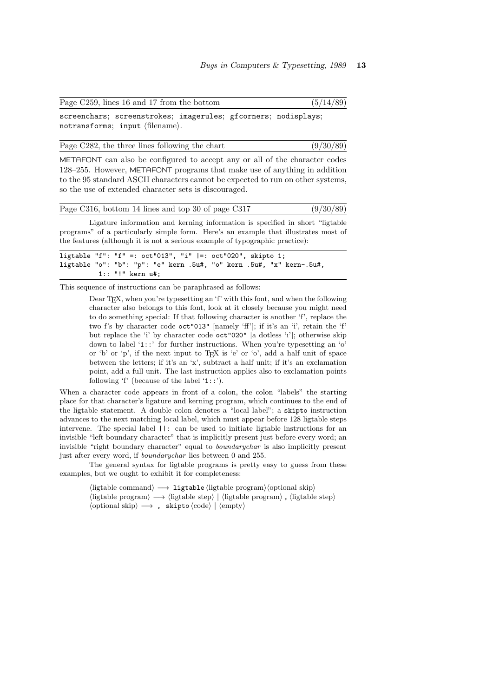| Page C259, lines 16 and 17 from the bottom                     |  | (5/14/89) |
|----------------------------------------------------------------|--|-----------|
| screenchars; screenstrokes; imagerules; gfcorners; nodisplays; |  |           |
| notransforms; input (filename).                                |  |           |

Page C282, the three lines following the chart  $(9/30/89)$ 

METAFONT can also be configured to accept any or all of the character codes 128–255. However, METAFONT programs that make use of anything in addition to the 95 standard ASCII characters cannot be expected to run on other systems, so the use of extended character sets is discouraged.

|  |  |  | Page C316, bottom 14 lines and top 30 of page C317 | (9/30/89) |
|--|--|--|----------------------------------------------------|-----------|
|--|--|--|----------------------------------------------------|-----------|

Ligature information and kerning information is specified in short "ligtable programs" of a particularly simple form. Here's an example that illustrates most of the features (although it is not a serious example of typographic practice):

ligtable "f": "f" =: oct"013", "i" |=: oct"020", skipto 1; ligtable "o": "b": "p": "e" kern .5u#, "o" kern .5u#, "x" kern-.5u#, 1:: "!" kern u#;

This sequence of instructions can be paraphrased as follows:

Dear T<sub>E</sub>X, when you're typesetting an 'f' with this font, and when the following character also belongs to this font, look at it closely because you might need to do something special: If that following character is another 'f', replace the two f's by character code oct"013" [namely 'ff']; if it's an 'i', retain the 'f' but replace the 'i' by character code oct"020" [a dotless 'ı']; otherwise skip down to label '1::' for further instructions. When you're typesetting an 'o' or 'b' or 'p', if the next input to TEX is 'e' or 'o', add a half unit of space between the letters; if it's an 'x', subtract a half unit; if it's an exclamation point, add a full unit. The last instruction applies also to exclamation points following 'f' (because of the label '1::').

When a character code appears in front of a colon, the colon "labels" the starting place for that character's ligature and kerning program, which continues to the end of the ligtable statement. A double colon denotes a "local label"; a skipto instruction advances to the next matching local label, which must appear before 128 ligtable steps intervene. The special label ||: can be used to initiate ligtable instructions for an invisible "left boundary character" that is implicitly present just before every word; an invisible "right boundary character" equal to boundarychar is also implicitly present just after every word, if boundarychar lies between 0 and 255.

The general syntax for ligtable programs is pretty easy to guess from these examples, but we ought to exhibit it for completeness:

> $\langle$ ligtable command $\rangle \longrightarrow 1$ igtable  $\langle$ ligtable program $\rangle$  $\langle$ optional skip $\rangle$  $\langle$ ligtable program $\rangle \longrightarrow \langle$ ligtable step $\rangle$  |  $\langle$ ligtable program $\rangle$ ,  $\langle$ ligtable step $\rangle$  $\langle$ optional skip $\rangle \longrightarrow$ , skipto  $\langle$ code $\rangle$  |  $\langle$ empty $\rangle$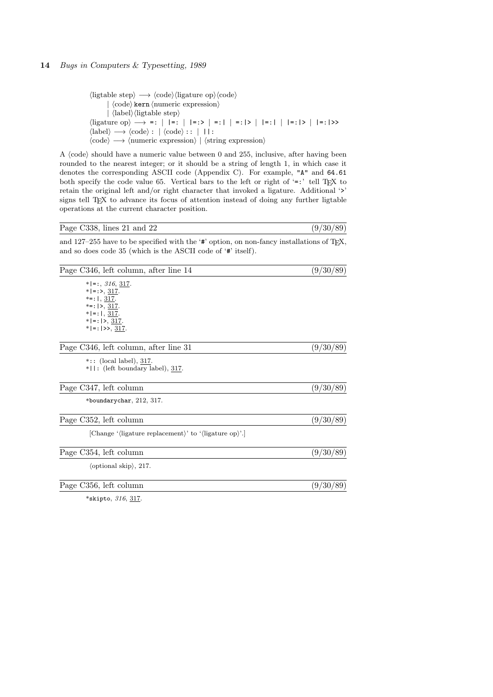```
\langleligtable step\rangle \longrightarrow \langle \text{code}\rangle \langle \text{ligature op}\rangle \langle \text{code}\rangle|\langle \text{code}\rangle kern \langle \text{numeric expression}\rangle|\langlelabel\rangle\langleligtable step\rangle\langleligature op\rangle \longrightarrow =: | |=: | |=: | |=:> | =:| | |=:|> | |=:|| | |=:|> | |=:|>>
\langle \text{label} \rangle \longrightarrow \langle \text{code} \rangle : | \langle \text{code} \rangle : : | \ | |:\langle \text{code} \rangle \longrightarrow \langle \text{numeric expression} \rangle | \langle \text{string expression} \rangle
```
A  $\langle \text{code} \rangle$  should have a numeric value between 0 and 255, inclusive, after having been rounded to the nearest integer; or it should be a string of length 1, in which case it denotes the corresponding ASCII code (Appendix C). For example, "A" and 64.61 both specify the code value 65. Vertical bars to the left or right of  $\leftarrow$ :' tell T<sub>E</sub>X to retain the original left and/or right character that invoked a ligature. Additional '>' signs tell T<sub>EX</sub> to advance its focus of attention instead of doing any further ligtable operations at the current character position.

| Page C338, lines 21 and 22 | (9/30/89) |
|----------------------------|-----------|
|                            |           |

and 127–255 have to be specified with the ' $\sharp$ ' option, on non-fancy installations of T<sub>E</sub>X, and so does code 35 (which is the ASCII code of '#' itself).

| Page C346, left column, after line 14                | (9/30/89) |  |  |
|------------------------------------------------------|-----------|--|--|
| $* =$ :, 316, 317.                                   |           |  |  |
| $* =:>, 317.$                                        |           |  |  |
| $* = :  , 317.$                                      |           |  |  |
| *=: $  >$ , 317.                                     |           |  |  |
| $* =: , 317.$<br>$* =$ :  >, 317.                    |           |  |  |
| $* =$ :  >>, 317.                                    |           |  |  |
|                                                      |           |  |  |
| Page C346, left column, after line 31                | (9/30/89) |  |  |
| $*$ :: (local label), 317.                           |           |  |  |
| $*$   : (left boundary label), 317.                  |           |  |  |
|                                                      |           |  |  |
| Page C347, left column                               | (9/30/89) |  |  |
| *boundarychar, $212, 317$ .                          |           |  |  |
| Page C352, left column                               | (9/30/89) |  |  |
| [Change '/ligature replacement)' to '/ligature op)'. |           |  |  |
|                                                      |           |  |  |
| Page C354, left column                               | (9/30/89) |  |  |
| $\langle$ optional skip $\rangle$ , 217.             |           |  |  |
| Page C356, left column                               | (9/30/89) |  |  |
| *skipto, $316, 317$ .                                |           |  |  |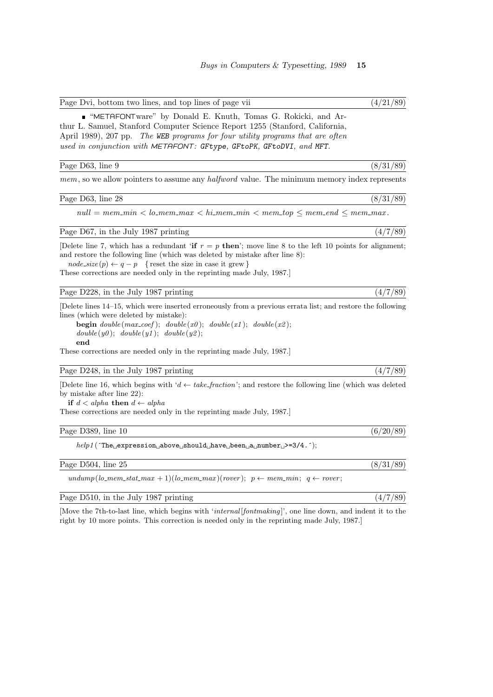| • "METAFONTware" by Donald E. Knuth, Tomas G. Rokicki, and Ar-                 |
|--------------------------------------------------------------------------------|
| thur L. Samuel, Stanford Computer Science Report 1255 (Stanford, California,   |
| April 1989), 207 pp. The WEB programs for four utility programs that are often |
| used in conjunction with METAFONT: GFtype, GFtoPK, GFtoDVI, and MFT.           |

#### Page D63, line 9 (8/31/89)

mem, so we allow pointers to assume any *halfword* value. The minimum memory index represents

Page D63, line 28 (8/31/89)

 $null = mem\_min < lo\_mem\_max < hi\_mem\_min < mem\_top \le mem\_end \le mem\_max$ .

Page D67, in the July 1987 printing  $(4/7/89)$ 

[Delete line 7, which has a redundant 'if  $r = p$  then'; move line 8 to the left 10 points for alignment; and restore the following line (which was deleted by mistake after line 8):

 $node\_size(p) \leftarrow q - p$  { reset the size in case it grew } These corrections are needed only in the reprinting made July, 1987.]

Page D228, in the July 1987 printing  $(4/7/89)$ 

[Delete lines 14–15, which were inserted erroneously from a previous errata list; and restore the following lines (which were deleted by mistake):

begin  $double(max\_coef)$ ;  $double(x0)$ ;  $double(x1)$ ;  $double(x2)$ ;  $double(y0); double(y1); double(y2);$ end

These corrections are needed only in the reprinting made July, 1987.]

### Page D248, in the July 1987 printing  $(4/7/89)$

[Delete line 16, which begins with ' $d \leftarrow$  take\_fraction'; and restore the following line (which was deleted by mistake after line 22):

if  $d < alpha$  then  $d \leftarrow alpha$ 

These corrections are needed only in the reprinting made July, 1987.]

#### Page D389, line 10 (6/20/89)

 $help 1 (\verb|`The \verb|{}_{\sqcup} expression \verb|{}_{\sqcup} above \verb|{}_{\sqcup} have \verb|{}_{\sqcup} been \verb|{}_{\sqcup} a \verb|{}_{\sqcup} number \verb|{}_{\sqcup}>=3/4. \verb|`|;$ 

| Page D504, line 25 |  |  | (8/31/89) |  |  |  |
|--------------------|--|--|-----------|--|--|--|
|--------------------|--|--|-----------|--|--|--|

undump(lo\_mem\_stat\_max + 1)(lo\_mem\_max)(rover);  $p \leftarrow mem\_min$ ;  $q \leftarrow rover$ ;

Page D510, in the July 1987 printing  $(4/7/89)$ 

[Move the 7th-to-last line, which begins with 'internal [fontmaking]', one line down, and indent it to the right by 10 more points. This correction is needed only in the reprinting made July, 1987.]

Page Dvi, bottom two lines, and top lines of page vii (4/21/89)